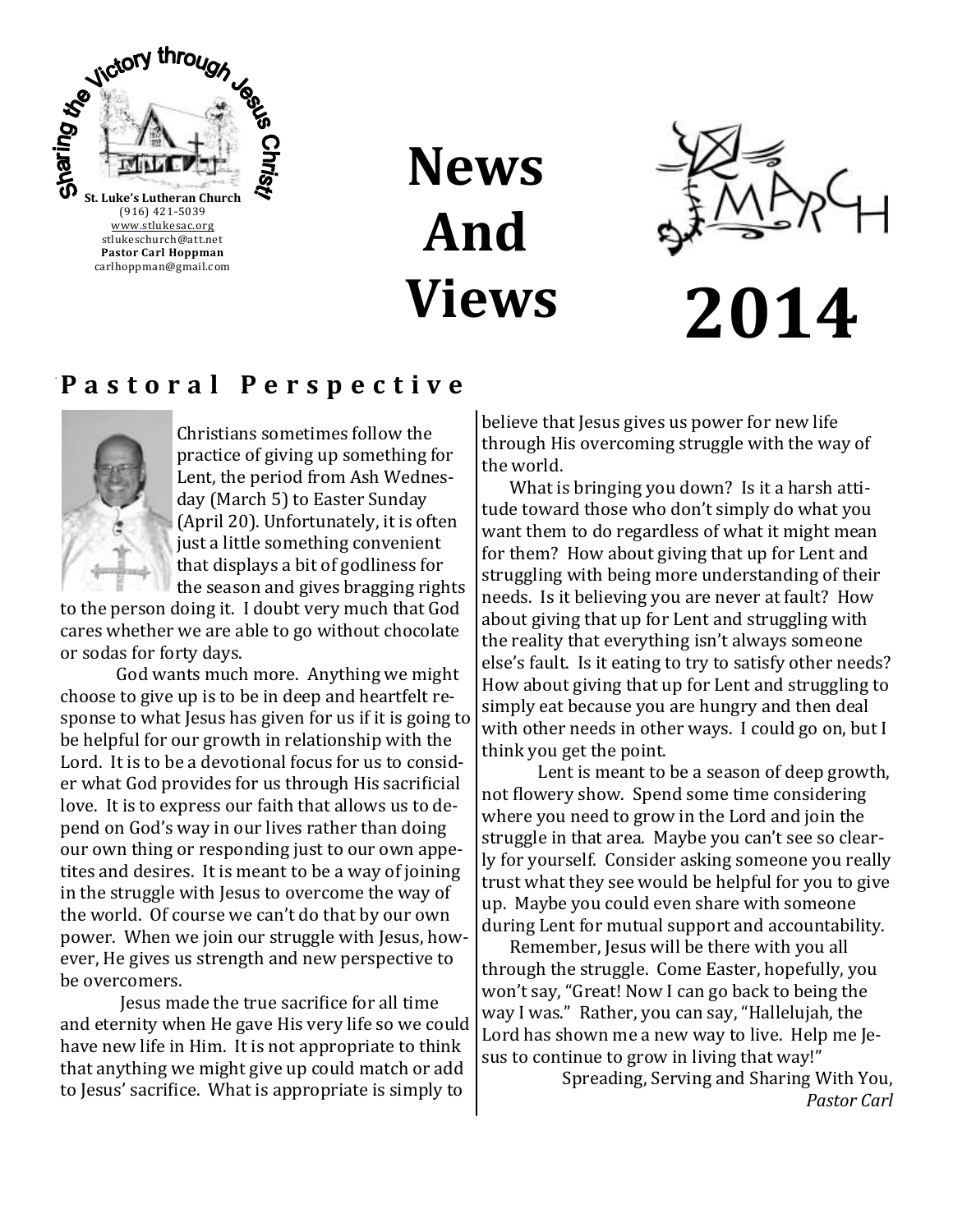

**News And Views**



# **2014**

### **P a s t o r a l P e r s p e c t i v e**



Christians sometimes follow the practice of giving up something for Lent, the period from Ash Wednesday (March 5) to Easter Sunday (April 20). Unfortunately, it is often just a little something convenient that displays a bit of godliness for the season and gives bragging rights

to the person doing it. I doubt very much that God cares whether we are able to go without chocolate or sodas for forty days.

God wants much more. Anything we might choose to give up is to be in deep and heartfelt response to what Jesus has given for us if it is going to be helpful for our growth in relationship with the Lord. It is to be a devotional focus for us to consider what God provides for us through His sacrificial love. It is to express our faith that allows us to depend on God's way in our lives rather than doing our own thing or responding just to our own appetites and desires. It is meant to be a way of joining in the struggle with Jesus to overcome the way of the world. Of course we can't do that by our own power. When we join our struggle with Jesus, however, He gives us strength and new perspective to be overcomers.

Jesus made the true sacrifice for all time and eternity when He gave His very life so we could have new life in Him. It is not appropriate to think that anything we might give up could match or add to Jesus' sacrifice. What is appropriate is simply to

believe that Jesus gives us power for new life through His overcoming struggle with the way of the world.

What is bringing you down? Is it a harsh attitude toward those who don't simply do what you want them to do regardless of what it might mean for them? How about giving that up for Lent and struggling with being more understanding of their needs. Is it believing you are never at fault? How about giving that up for Lent and struggling with the reality that everything isn't always someone else's fault. Is it eating to try to satisfy other needs? How about giving that up for Lent and struggling to simply eat because you are hungry and then deal with other needs in other ways. I could go on, but I think you get the point.

Lent is meant to be a season of deep growth, not flowery show. Spend some time considering where you need to grow in the Lord and join the struggle in that area. Maybe you can't see so clearly for yourself. Consider asking someone you really trust what they see would be helpful for you to give up. Maybe you could even share with someone during Lent for mutual support and accountability.

Remember, Jesus will be there with you all through the struggle. Come Easter, hopefully, you won't say, "Great! Now I can go back to being the way I was." Rather, you can say, "Hallelujah, the Lord has shown me a new way to live. Help me Jesus to continue to grow in living that way!"

Spreading, Serving and Sharing With You, *Pastor Carl*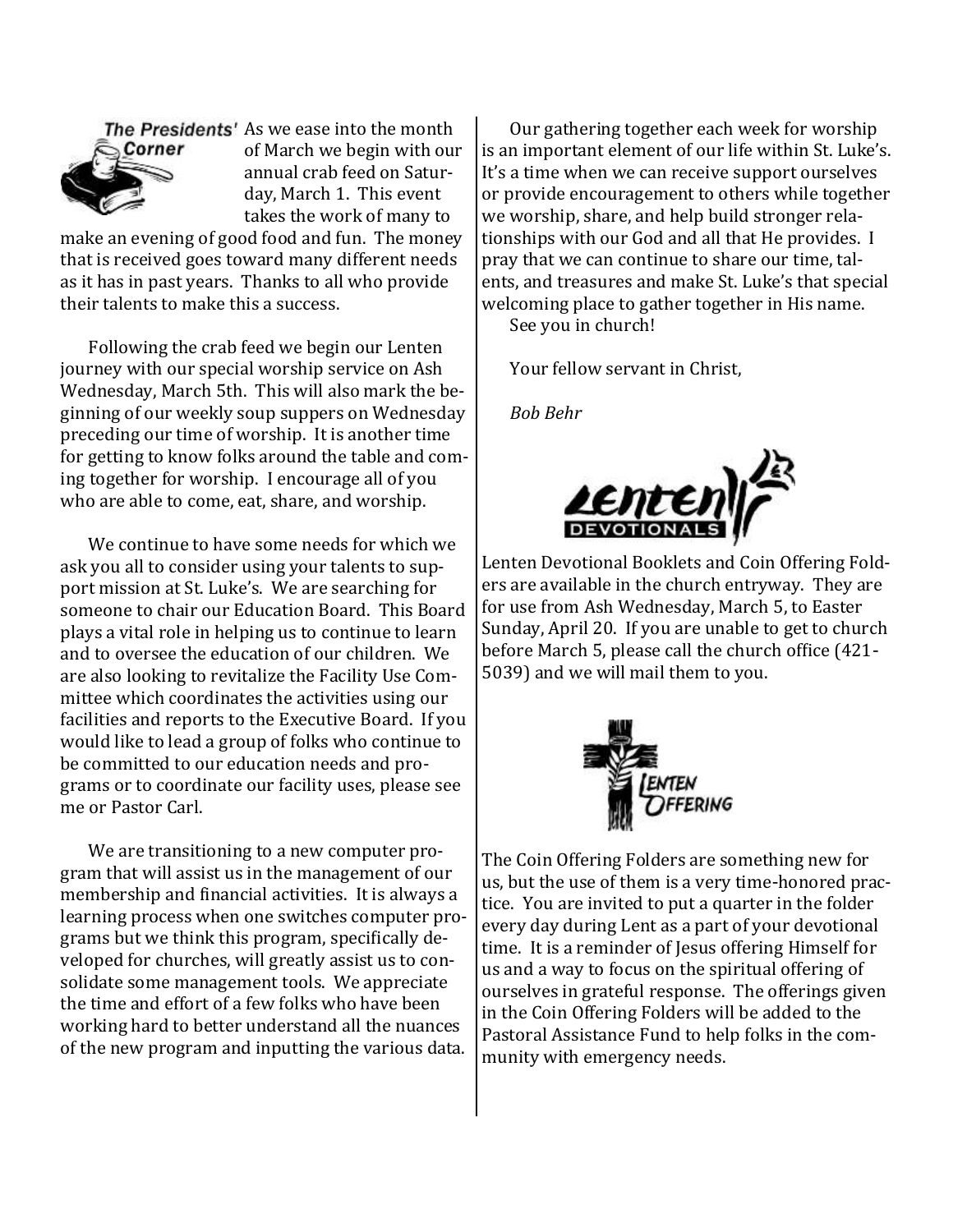

The Presidents' As we ease into the month of March we begin with our annual crab feed on Saturday, March 1. This event takes the work of many to

make an evening of good food and fun. The money that is received goes toward many different needs as it has in past years. Thanks to all who provide their talents to make this a success.

Following the crab feed we begin our Lenten journey with our special worship service on Ash Wednesday, March 5th. This will also mark the beginning of our weekly soup suppers on Wednesday preceding our time of worship. It is another time for getting to know folks around the table and coming together for worship. I encourage all of you who are able to come, eat, share, and worship.

We continue to have some needs for which we ask you all to consider using your talents to support mission at St. Luke's. We are searching for someone to chair our Education Board. This Board plays a vital role in helping us to continue to learn and to oversee the education of our children. We are also looking to revitalize the Facility Use Committee which coordinates the activities using our facilities and reports to the Executive Board. If you would like to lead a group of folks who continue to be committed to our education needs and programs or to coordinate our facility uses, please see me or Pastor Carl.

We are transitioning to a new computer program that will assist us in the management of our membership and financial activities. It is always a learning process when one switches computer programs but we think this program, specifically developed for churches, will greatly assist us to consolidate some management tools. We appreciate the time and effort of a few folks who have been working hard to better understand all the nuances of the new program and inputting the various data.

Our gathering together each week for worship is an important element of our life within St. Luke's. It's a time when we can receive support ourselves or provide encouragement to others while together we worship, share, and help build stronger relationships with our God and all that He provides. I pray that we can continue to share our time, talents, and treasures and make St. Luke's that special welcoming place to gather together in His name. See you in church!

Your fellow servant in Christ,

*Bob Behr*



Lenten Devotional Booklets and Coin Offering Folders are available in the church entryway. They are for use from Ash Wednesday, March 5, to Easter Sunday, April 20. If you are unable to get to church before March 5, please call the church office (421- 5039) and we will mail them to you.



The Coin Offering Folders are something new for us, but the use of them is a very time-honored practice. You are invited to put a quarter in the folder every day during Lent as a part of your devotional time. It is a reminder of Jesus offering Himself for us and a way to focus on the spiritual offering of ourselves in grateful response. The offerings given in the Coin Offering Folders will be added to the Pastoral Assistance Fund to help folks in the community with emergency needs.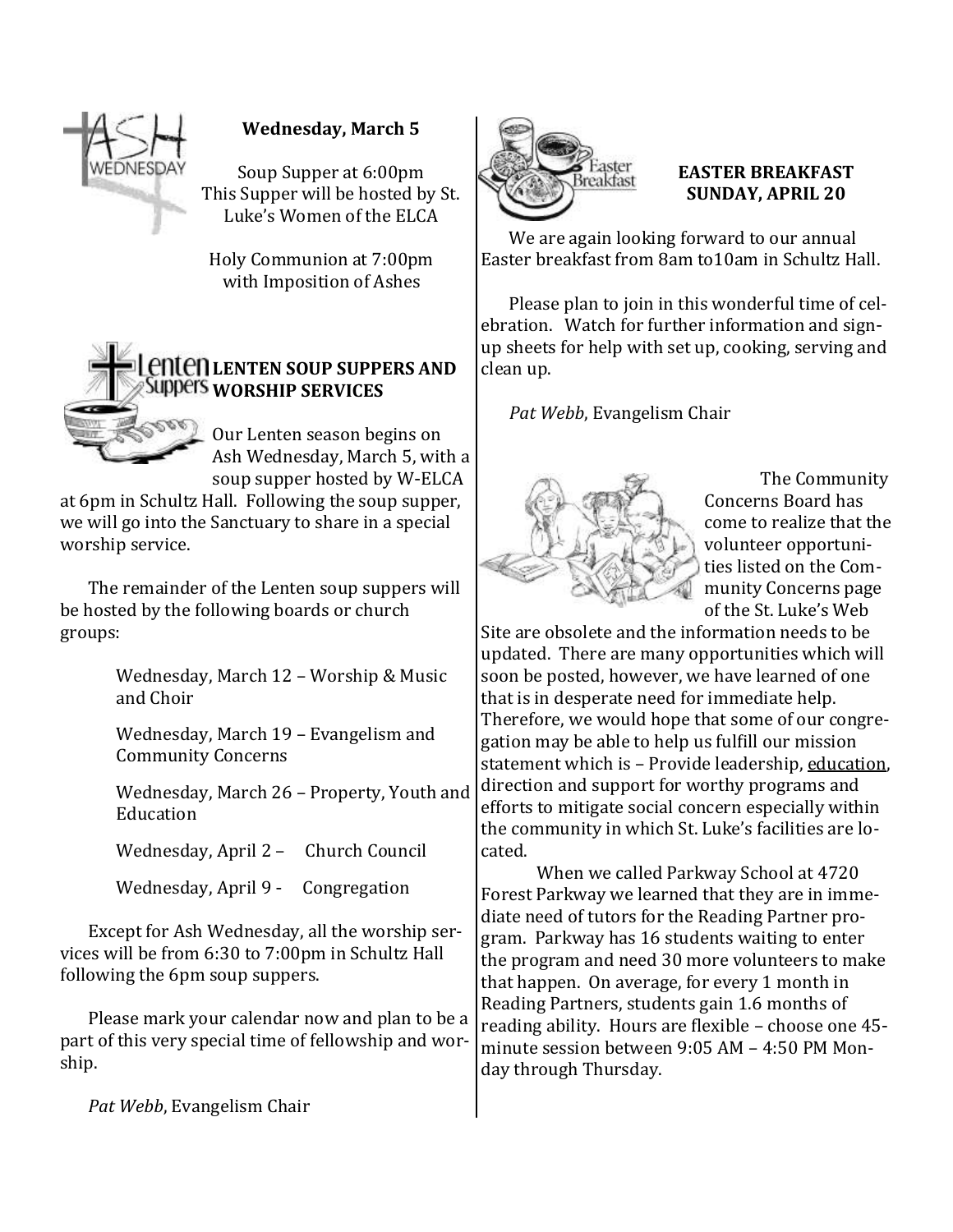

#### **Wednesday, March 5**

Soup Supper at 6:00pm This Supper will be hosted by St. Luke's Women of the ELCA

Holy Communion at 7:00pm with Imposition of Ashes



## **LENTEN SOUP SUPPERS AND WORSHIP SERVICES**

Our Lenten season begins on Ash Wednesday, March 5, with a soup supper hosted by W-ELCA

at 6pm in Schultz Hall. Following the soup supper, we will go into the Sanctuary to share in a special worship service.

The remainder of the Lenten soup suppers will be hosted by the following boards or church groups:

> Wednesday, March 12 – Worship & Music and Choir

Wednesday, March 19 – Evangelism and Community Concerns

Wednesday, March 26 – Property, Youth and Education

Wednesday, April 2 – Church Council

Wednesday, April 9 - Congregation

Except for Ash Wednesday, all the worship services will be from 6:30 to 7:00pm in Schultz Hall following the 6pm soup suppers.

Please mark your calendar now and plan to be a part of this very special time of fellowship and worship.

*Pat Webb*, Evangelism Chair



#### **EASTER BREAKFAST SUNDAY, APRIL 20**

We are again looking forward to our annual Easter breakfast from 8am to10am in Schultz Hall.

Please plan to join in this wonderful time of celebration. Watch for further information and signup sheets for help with set up, cooking, serving and clean up.

*Pat Webb*, Evangelism Chair



The Community Concerns Board has come to realize that the volunteer opportunities listed on the Community Concerns page of the St. Luke's Web

Site are obsolete and the information needs to be updated. There are many opportunities which will soon be posted, however, we have learned of one that is in desperate need for immediate help. Therefore, we would hope that some of our congregation may be able to help us fulfill our mission statement which is – Provide leadership, education, direction and support for worthy programs and efforts to mitigate social concern especially within the community in which St. Luke's facilities are located.

When we called Parkway School at 4720 Forest Parkway we learned that they are in immediate need of tutors for the Reading Partner program. Parkway has 16 students waiting to enter the program and need 30 more volunteers to make that happen. On average, for every 1 month in Reading Partners, students gain 1.6 months of reading ability. Hours are flexible – choose one 45 minute session between 9:05 AM – 4:50 PM Monday through Thursday.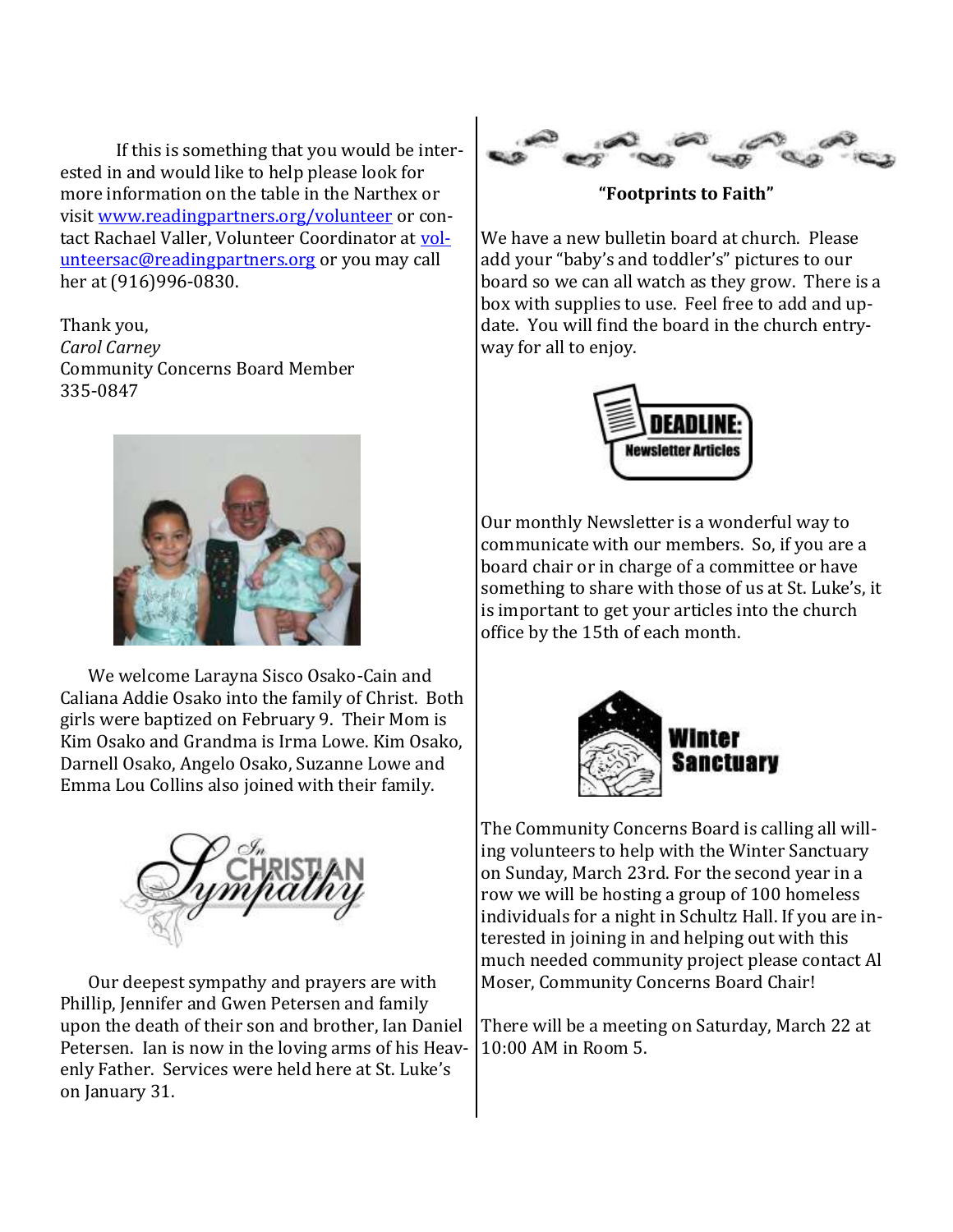If this is something that you would be interested in and would like to help please look for more information on the table in the Narthex or visit [www.readingpartners.org/volunteer](http://www.readingpartners.org/volunteer) or contact Rachael Valler, Volunteer Coordinator at [vol](mailto:volunteersac@readingpartners.org)[unteersac@readingpartners.org](mailto:volunteersac@readingpartners.org) or you may call her at (916)996-0830.

Thank you, *Carol Carney* Community Concerns Board Member 335-0847



We welcome Larayna Sisco Osako-Cain and Caliana Addie Osako into the family of Christ. Both girls were baptized on February 9. Their Mom is Kim Osako and Grandma is Irma Lowe. Kim Osako, Darnell Osako, Angelo Osako, Suzanne Lowe and Emma Lou Collins also joined with their family.



Our deepest sympathy and prayers are with Phillip, Jennifer and Gwen Petersen and family upon the death of their son and brother, Ian Daniel Petersen. Ian is now in the loving arms of his Heavenly Father. Services were held here at St. Luke's on January 31.



**"Footprints to Faith"**

We have a new bulletin board at church. Please add your "baby's and toddler's" pictures to our board so we can all watch as they grow. There is a box with supplies to use. Feel free to add and update. You will find the board in the church entryway for all to enjoy.



Our monthly Newsletter is a wonderful way to communicate with our members. So, if you are a board chair or in charge of a committee or have something to share with those of us at St. Luke's, it is important to get your articles into the church office by the 15th of each month.



The Community Concerns Board is calling all willing volunteers to help with the Winter Sanctuary on Sunday, March 23rd. For the second year in a row we will be hosting a group of 100 homeless individuals for a night in Schultz Hall. If you are interested in joining in and helping out with this much needed community project please contact Al Moser, Community Concerns Board Chair!

There will be a meeting on Saturday, March 22 at 10:00 AM in Room 5.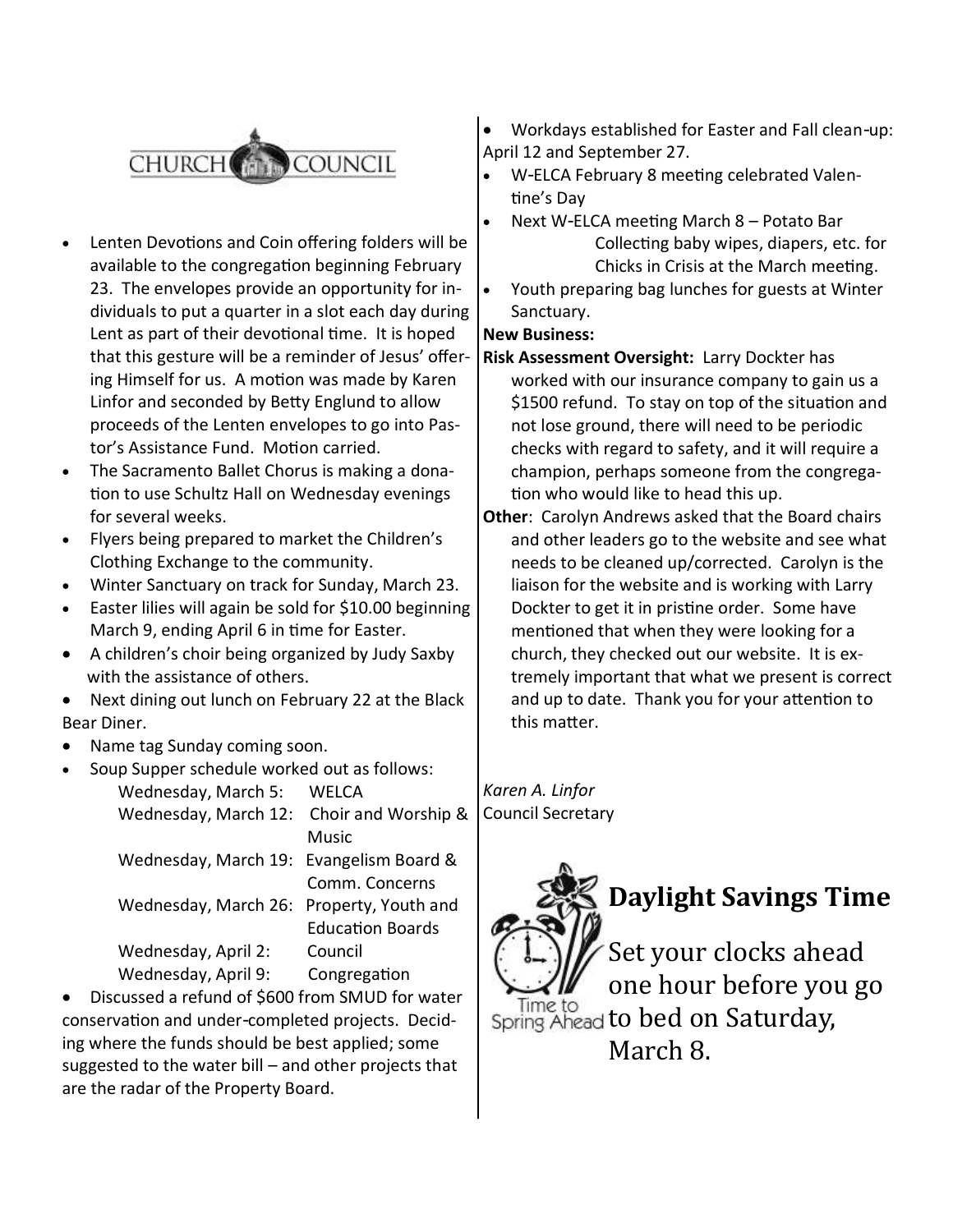

- Lenten Devotions and Coin offering folders will be available to the congregation beginning February 23. The envelopes provide an opportunity for individuals to put a quarter in a slot each day during Lent as part of their devotional time. It is hoped that this gesture will be a reminder of Jesus' offering Himself for us. A motion was made by Karen Linfor and seconded by Betty Englund to allow proceeds of the Lenten envelopes to go into Pastor's Assistance Fund. Motion carried.
- The Sacramento Ballet Chorus is making a donation to use Schultz Hall on Wednesday evenings for several weeks.
- Flyers being prepared to market the Children's Clothing Exchange to the community.
- Winter Sanctuary on track for Sunday, March 23.
- Easter lilies will again be sold for \$10.00 beginning March 9, ending April 6 in time for Easter.
- A children's choir being organized by Judy Saxby with the assistance of others.
- Next dining out lunch on February 22 at the Black Bear Diner.
- Name tag Sunday coming soon.
- Soup Supper schedule worked out as follows:

| Wednesday, March 5:                     | WFLCA                   |
|-----------------------------------------|-------------------------|
| Wednesday, March 12:                    | Choir and Worship &     |
|                                         | <b>Music</b>            |
| Wednesday, March 19: Evangelism Board & |                         |
|                                         | Comm. Concerns          |
| Wednesday, March 26:                    | Property, Youth and     |
|                                         | <b>Education Boards</b> |
| Wednesday, April 2:                     | Council                 |
| Wednesday, April 9:                     | Congregation            |

 Discussed a refund of \$600 from SMUD for water conservation and under-completed projects. Deciding where the funds should be best applied; some suggested to the water bill – and other projects that are the radar of the Property Board.

- Workdays established for Easter and Fall clean-up: April 12 and September 27.
- W-ELCA February 8 meeting celebrated Valentine's Day
- Next W-ELCA meeting March 8 Potato Bar Collecting baby wipes, diapers, etc. for Chicks in Crisis at the March meeting.
- Youth preparing bag lunches for guests at Winter Sanctuary.

#### **New Business:**

- **Risk Assessment Oversight:** Larry Dockter has worked with our insurance company to gain us a \$1500 refund. To stay on top of the situation and not lose ground, there will need to be periodic checks with regard to safety, and it will require a champion, perhaps someone from the congregation who would like to head this up.
- **Other**: Carolyn Andrews asked that the Board chairs and other leaders go to the website and see what needs to be cleaned up/corrected. Carolyn is the liaison for the website and is working with Larry Dockter to get it in pristine order. Some have mentioned that when they were looking for a church, they checked out our website. It is extremely important that what we present is correct and up to date. Thank you for your attention to this matter.

*Karen A. Linfor* Council Secretary

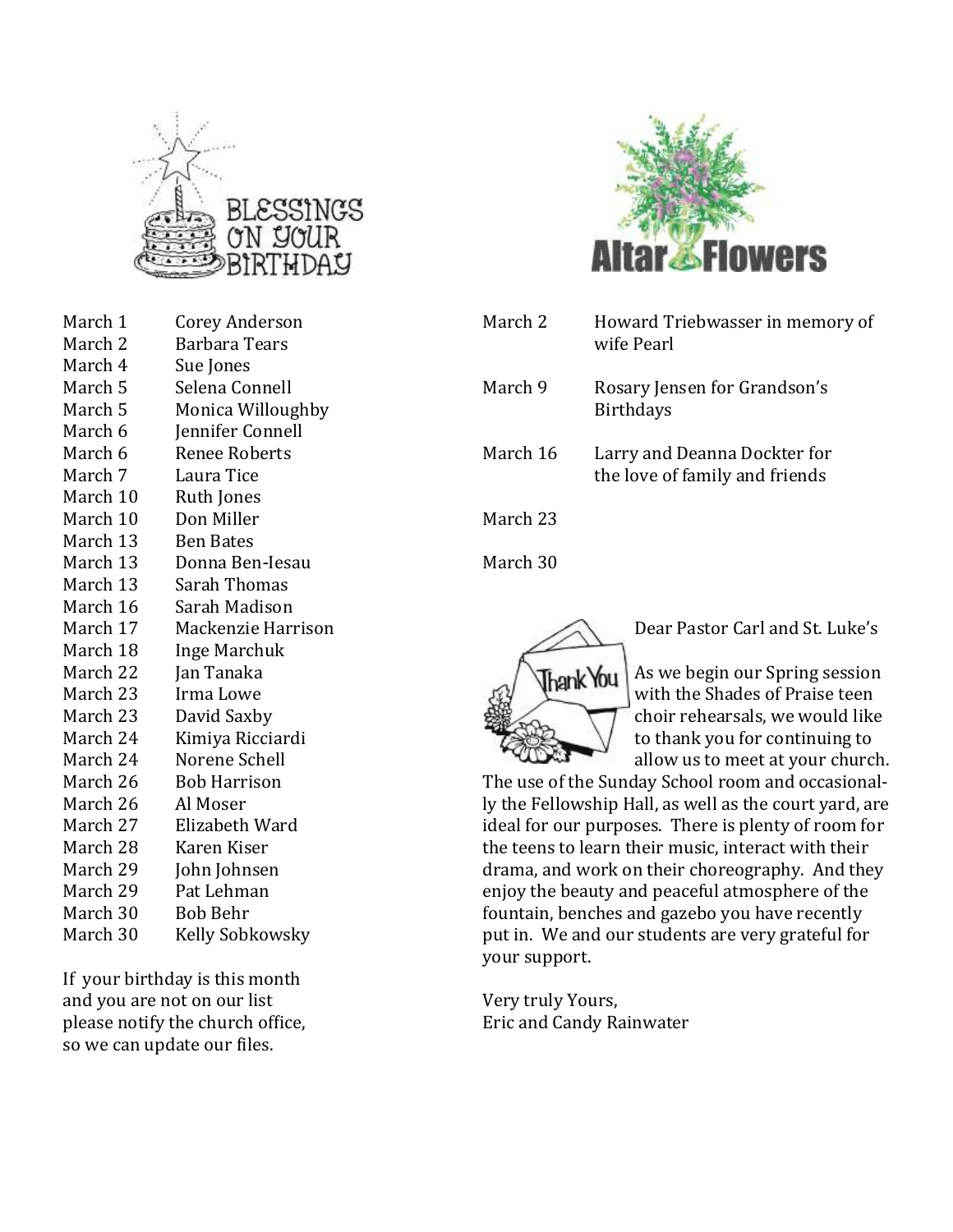

| March 1            | Corey Anderson       |
|--------------------|----------------------|
| March <sub>2</sub> | <b>Barbara Tears</b> |
| March 4            | Sue Jones            |
| March 5            | Selena Connell       |
| March 5            | Monica Willoughby    |
| March 6            | Jennifer Connell     |
| March 6            | Renee Roberts        |
| March 7            | Laura Tice           |
| March 10           | Ruth Jones           |
| March 10           | Don Miller           |
| March 13           | <b>Ben Bates</b>     |
| March 13           | Donna Ben-Iesau      |
| March 13           | <b>Sarah Thomas</b>  |
| March 16           | Sarah Madison        |
| March 17           | Mackenzie Harrison   |
| March 18           | Inge Marchuk         |
| March 22           | Jan Tanaka           |
| March 23           | Irma Lowe            |
| March 23           | David Saxby          |
| March 24           | Kimiya Ricciardi     |
| March 24           | Norene Schell        |
| March 26           | <b>Bob Harrison</b>  |
| March 26           | Al Moser             |
| March 27           | Elizabeth Ward       |
| March 28           | Karen Kiser          |
| March 29           | John Johnsen         |
| March 29           | Pat Lehman           |
| March 30           | Bob Behr             |
| March 30           | Kelly Sobkowsky      |

If your birthday is this month and you are not on our list please notify the church office, so we can update our files.



| March 2  | Howard Triebwasser in memory of<br>wife Pearl                  |
|----------|----------------------------------------------------------------|
| March 9  | Rosary Jensen for Grandson's<br><b>Birthdays</b>               |
| March 16 | Larry and Deanna Dockter for<br>the love of family and friends |
| March 23 |                                                                |
| March 30 |                                                                |



Dear Pastor Carl and St. Luke's

As we begin our Spring session with the Shades of Praise teen choir rehearsals, we would like to thank you for continuing to allow us to meet at your church.

The use of the Sunday School room and occasionally the Fellowship Hall, as well as the court yard, are ideal for our purposes. There is plenty of room for the teens to learn their music, interact with their drama, and work on their choreography. And they enjoy the beauty and peaceful atmosphere of the fountain, benches and gazebo you have recently put in. We and our students are very grateful for your support.

Very truly Yours, Eric and Candy Rainwater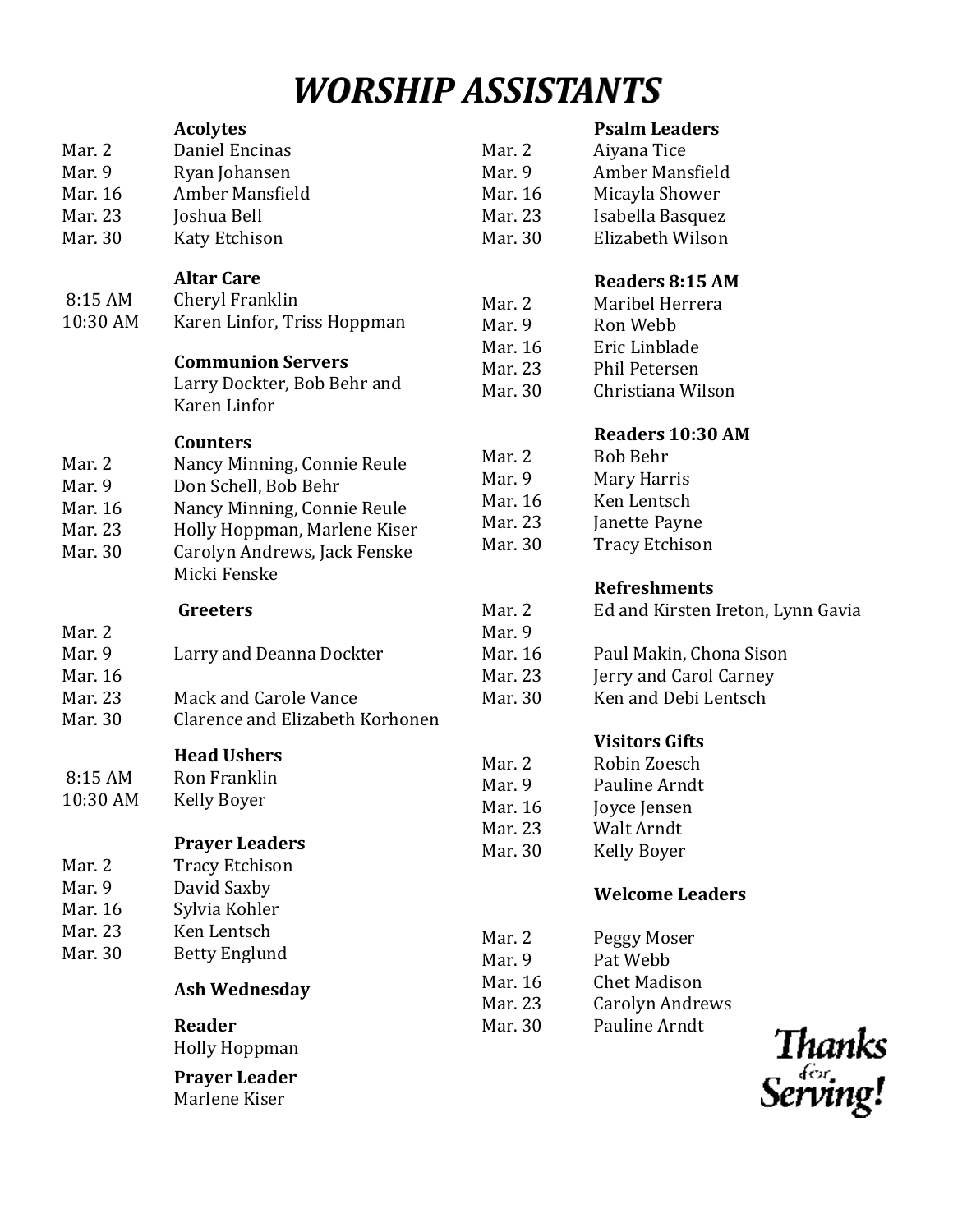# *WORSHIP ASSISTANTS*

| Mar. 2<br>Mar. 9<br>Mar. 16<br>Mar. 23<br>Mar. 30 | <b>Acolytes</b><br>Daniel Encinas<br>Ryan Johansen<br>Amber Mansfield<br>Joshua Bell<br>Katy Etchison                                                                                 | Mar. 2<br>Mar. 9<br>Mar. 1<br>Mar. 2<br>Mar. 3 |
|---------------------------------------------------|---------------------------------------------------------------------------------------------------------------------------------------------------------------------------------------|------------------------------------------------|
| 8:15 AM<br>10:30 AM                               | <b>Altar Care</b><br>Cheryl Franklin<br>Karen Linfor, Triss Hoppman                                                                                                                   | Mar. 2<br>Mar. 9                               |
|                                                   | <b>Communion Servers</b><br>Larry Dockter, Bob Behr and<br>Karen Linfor                                                                                                               | Mar. 1<br>Mar. 2<br>Mar. 3                     |
| Mar. 2<br>Mar. 9<br>Mar. 16<br>Mar. 23<br>Mar. 30 | <b>Counters</b><br>Nancy Minning, Connie Reule<br>Don Schell, Bob Behr<br>Nancy Minning, Connie Reule<br>Holly Hoppman, Marlene Kiser<br>Carolyn Andrews, Jack Fenske<br>Micki Fenske | Mar. 2<br>Mar. 9<br>Mar. 1<br>Mar. 2<br>Mar. 3 |
|                                                   | <b>Greeters</b>                                                                                                                                                                       | Mar. 2                                         |
| Mar. 2<br>Mar. 9<br>Mar. 16                       | Larry and Deanna Dockter                                                                                                                                                              | Mar. 9<br>Mar. 1<br>Mar. 2                     |
| Mar. 23<br>Mar. 30                                | Mack and Carole Vance<br>Clarence and Elizabeth Korhonen                                                                                                                              | Mar. 3                                         |
| 8:15 AM<br>10:30 AM                               | <b>Head Ushers</b><br>Ron Franklin<br>Kelly Boyer                                                                                                                                     | Mar. 2<br>Mar. 9<br>Mar. 1                     |
| Mar. 2<br>Mar. 9<br>Mar. 16                       | <b>Prayer Leaders</b><br><b>Tracy Etchison</b><br>David Saxby<br>Sylvia Kohler                                                                                                        | Mar. 2<br>Mar. 3                               |
| Mar. 23<br>Mar. 30                                | Ken Lentsch<br><b>Betty Englund</b>                                                                                                                                                   | Mar. 2<br>Mar. 9                               |
|                                                   | <b>Ash Wednesday</b>                                                                                                                                                                  | Mar. 1                                         |
|                                                   | Reader<br>Holly Hoppman                                                                                                                                                               | Mar. 2<br>Mar. 3                               |
|                                                   | <b>Prayer Leader</b><br>Marlene Kiser                                                                                                                                                 |                                                |

#### **Psalm Leaders**

| Mar. 2  | Aiyana Tice      |
|---------|------------------|
| Mar. 9  | Amber Mansfield  |
| Mar. 16 | Micayla Shower   |
| Mar. 23 | Isabella Basquez |
| Mar. 30 | Elizabeth Wilson |
|         |                  |

#### **Readers 8:15 AM**

| Mar. 2  | Maribel Herrera   |
|---------|-------------------|
| Mar. 9  | Ron Webb          |
| Mar. 16 | Eric Linblade     |
| Mar. 23 | Phil Petersen     |
| Mar. 30 | Christiana Wilson |
|         |                   |

#### **Readers 10:30 AM**

| Mar. 2  | Bob Behr              |
|---------|-----------------------|
| Mar. 9  | Mary Harris           |
| Mar. 16 | Ken Lentsch           |
| Mar. 23 | Janette Payne         |
| Mar. 30 | <b>Tracy Etchison</b> |
|         |                       |

#### **Refreshments**

| Mar. 2  | Ed and Kirsten Ireton, Lynn Gavia |
|---------|-----------------------------------|
| Mar. 9  |                                   |
| Mar. 16 | Paul Makin, Chona Sison           |
| Mar. 23 | Jerry and Carol Carney            |
| Mar. 30 | Ken and Debi Lentsch              |
|         |                                   |

#### **Visitors Gifts**

| Mar. 2  | Robin Zoesch  |
|---------|---------------|
| Mar. 9  | Pauline Arndt |
| Mar. 16 | Joyce Jensen  |
| Mar. 23 | Walt Arndt    |
| Mar. 30 | Kelly Boyer   |
|         |               |

#### **Welcome Leaders**

| Mar. 2  | Peggy Moser         |
|---------|---------------------|
| Mar. 9  | Pat Webb            |
| Mar. 16 | <b>Chet Madison</b> |
| Mar. 23 | Carolyn Andrews     |
| Mar. 30 | Pauline Arndt       |
|         |                     |